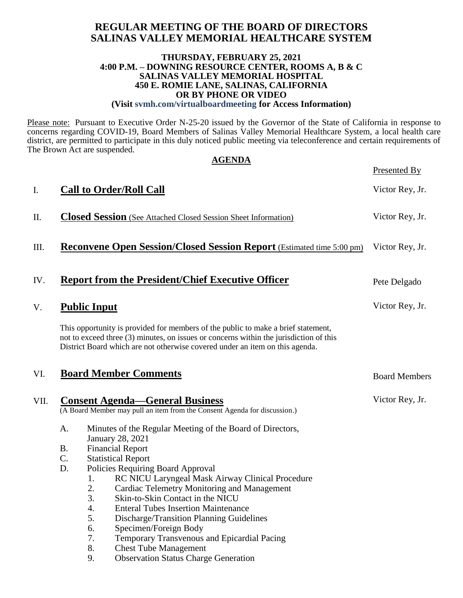## **REGULAR MEETING OF THE BOARD OF DIRECTORS SALINAS VALLEY MEMORIAL HEALTHCARE SYSTEM**

#### **THURSDAY, FEBRUARY 25, 2021 4:00 P.M. – DOWNING RESOURCE CENTER, ROOMS A, B & C SALINAS VALLEY MEMORIAL HOSPITAL 450 E. ROMIE LANE, SALINAS, CALIFORNIA OR BY PHONE OR VIDEO (Visit svmh.com/virtualboardmeeting for Access Information)**

Please note: Pursuant to Executive Order N-25-20 issued by the Governor of the State of California in response to concerns regarding COVID-19, Board Members of Salinas Valley Memorial Healthcare System, a local health care district, are permitted to participate in this duly noticed public meeting via teleconference and certain requirements of The Brown Act are suspended.

|      | <b>AGENDA</b> |                                                                                                                                                                                                                                                             |                      |  |  |
|------|---------------|-------------------------------------------------------------------------------------------------------------------------------------------------------------------------------------------------------------------------------------------------------------|----------------------|--|--|
|      |               |                                                                                                                                                                                                                                                             | Presented By         |  |  |
| I.   |               | <b>Call to Order/Roll Call</b>                                                                                                                                                                                                                              | Victor Rey, Jr.      |  |  |
| П.   |               | <b>Closed Session</b> (See Attached Closed Session Sheet Information)                                                                                                                                                                                       | Victor Rey, Jr.      |  |  |
| Ш.   |               | <b>Reconvene Open Session/Closed Session Report</b> (Estimated time 5:00 pm)                                                                                                                                                                                | Victor Rey, Jr.      |  |  |
| IV.  |               | <b>Report from the President/Chief Executive Officer</b>                                                                                                                                                                                                    | Pete Delgado         |  |  |
| V.   |               | <b>Public Input</b>                                                                                                                                                                                                                                         | Victor Rey, Jr.      |  |  |
|      |               | This opportunity is provided for members of the public to make a brief statement,<br>not to exceed three (3) minutes, on issues or concerns within the jurisdiction of this<br>District Board which are not otherwise covered under an item on this agenda. |                      |  |  |
| VI.  |               | <b>Board Member Comments</b>                                                                                                                                                                                                                                | <b>Board Members</b> |  |  |
| VII. |               | <b>Consent Agenda-General Business</b><br>(A Board Member may pull an item from the Consent Agenda for discussion.)                                                                                                                                         | Victor Rey, Jr.      |  |  |
|      | A.            | Minutes of the Regular Meeting of the Board of Directors,                                                                                                                                                                                                   |                      |  |  |
|      | <b>B.</b>     | <b>January 28, 2021</b><br><b>Financial Report</b>                                                                                                                                                                                                          |                      |  |  |
|      | C.            | <b>Statistical Report</b>                                                                                                                                                                                                                                   |                      |  |  |
|      | D.            | Policies Requiring Board Approval                                                                                                                                                                                                                           |                      |  |  |
|      |               | RC NICU Laryngeal Mask Airway Clinical Procedure<br>1.                                                                                                                                                                                                      |                      |  |  |
|      |               | 2.<br>Cardiac Telemetry Monitoring and Management                                                                                                                                                                                                           |                      |  |  |
|      |               | 3.<br>Skin-to-Skin Contact in the NICU                                                                                                                                                                                                                      |                      |  |  |
|      |               | <b>Enteral Tubes Insertion Maintenance</b><br>4.                                                                                                                                                                                                            |                      |  |  |
|      |               | 5.<br>Discharge/Transition Planning Guidelines                                                                                                                                                                                                              |                      |  |  |
|      |               | Specimen/Foreign Body<br>6.<br>7.                                                                                                                                                                                                                           |                      |  |  |
|      |               | Temporary Transvenous and Epicardial Pacing<br>8.<br><b>Chest Tube Management</b>                                                                                                                                                                           |                      |  |  |
|      |               | <b>Observation Status Charge Generation</b><br>9.                                                                                                                                                                                                           |                      |  |  |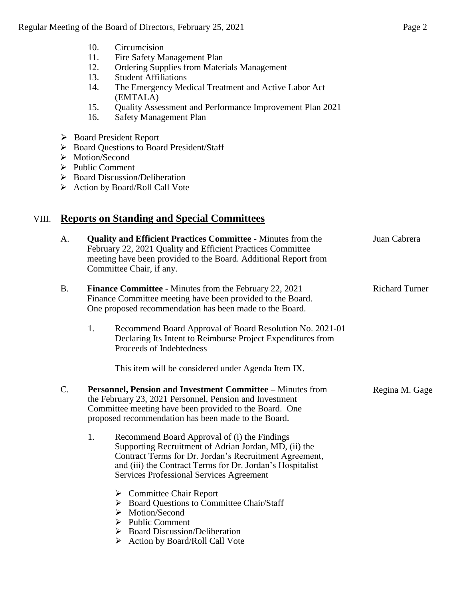- 10. Circumcision
- 11. Fire Safety Management Plan
- 12. Ordering Supplies from Materials Management
- 13. Student Affiliations
- 14. The Emergency Medical Treatment and Active Labor Act (EMTALA)
- 15. Quality Assessment and Performance Improvement Plan 2021
- 16. Safety Management Plan
- Board President Report
- ▶ Board Questions to Board President/Staff
- > Motion/Second
- > Public Comment
- $\triangleright$  Board Discussion/Deliberation
- Action by Board/Roll Call Vote

## VIII. **Reports on Standing and Special Committees**

| A.        | <b>Quality and Efficient Practices Committee - Minutes from the</b><br>February 22, 2021 Quality and Efficient Practices Committee<br>meeting have been provided to the Board. Additional Report from<br>Committee Chair, if any.                                                                                       | Juan Cabrera          |
|-----------|-------------------------------------------------------------------------------------------------------------------------------------------------------------------------------------------------------------------------------------------------------------------------------------------------------------------------|-----------------------|
| <b>B.</b> | <b>Finance Committee</b> - Minutes from the February 22, 2021<br>Finance Committee meeting have been provided to the Board.<br>One proposed recommendation has been made to the Board.<br>1.<br>Recommend Board Approval of Board Resolution No. 2021-01<br>Declaring Its Intent to Reimburse Project Expenditures from | <b>Richard Turner</b> |
| C.        | Proceeds of Indebtedness<br>This item will be considered under Agenda Item IX.<br>Personnel, Pension and Investment Committee - Minutes from<br>the February 23, 2021 Personnel, Pension and Investment                                                                                                                 | Regina M. Gage        |
|           | Committee meeting have been provided to the Board. One<br>proposed recommendation has been made to the Board.                                                                                                                                                                                                           |                       |
|           | 1.<br>Recommend Board Approval of (i) the Findings<br>Supporting Recruitment of Adrian Jordan, MD, (ii) the<br>Contract Terms for Dr. Jordan's Recruitment Agreement,<br>and (iii) the Contract Terms for Dr. Jordan's Hospitalist<br><b>Services Professional Services Agreement</b>                                   |                       |
|           | <b>Committee Chair Report</b><br>➤<br>> Board Questions to Committee Chair/Staff<br>$\triangleright$ Motion/Second<br>$\triangleright$ Public Comment<br><b>Board Discussion/Deliberation</b><br>➤<br>Action by Board/Roll Call Vote<br>➤                                                                               |                       |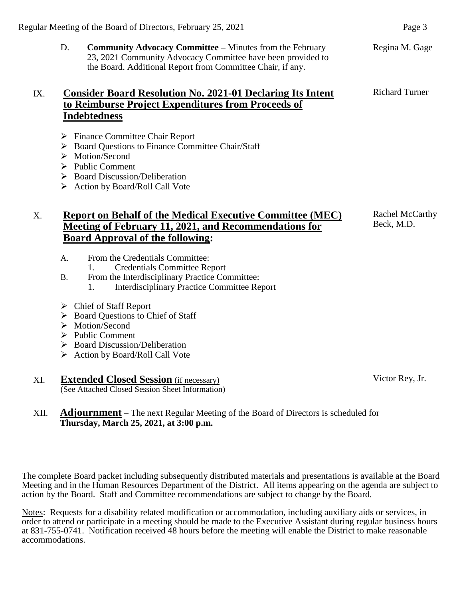D. **Community Advocacy Committee –** Minutes from the February 23, 2021 Community Advocacy Committee have been provided to the Board. Additional Report from Committee Chair, if any.

## IX. **Consider Board Resolution No. 2021-01 Declaring Its Intent to Reimburse Project Expenditures from Proceeds of Indebtedness**

- $\triangleright$  Finance Committee Chair Report
- ▶ Board Ouestions to Finance Committee Chair/Staff
- > Motion/Second
- $\triangleright$  Public Comment
- $\triangleright$  Board Discussion/Deliberation
- $\triangleright$  Action by Board/Roll Call Vote

## X. **Report on Behalf of the Medical Executive Committee (MEC) Meeting of February 11, 2021, and Recommendations for Board Approval of the following:**

- A. From the Credentials Committee:
	- 1. Credentials Committee Report
- B. From the Interdisciplinary Practice Committee:
	- 1. Interdisciplinary Practice Committee Report
- Chief of Staff Report
- $\triangleright$  Board Questions to Chief of Staff
- > Motion/Second
- $\triangleright$  Public Comment
- $\triangleright$  Board Discussion/Deliberation
- $\triangleright$  Action by Board/Roll Call Vote

#### XI. **Extended Closed Session** (if necessary) (See Attached Closed Session Sheet Information)

XII. **Adjournment** – The next Regular Meeting of the Board of Directors is scheduled for **Thursday, March 25, 2021, at 3:00 p.m.**

The complete Board packet including subsequently distributed materials and presentations is available at the Board Meeting and in the Human Resources Department of the District. All items appearing on the agenda are subject to action by the Board. Staff and Committee recommendations are subject to change by the Board.

Notes: Requests for a disability related modification or accommodation, including auxiliary aids or services, in order to attend or participate in a meeting should be made to the Executive Assistant during regular business hours at 831-755-0741. Notification received 48 hours before the meeting will enable the District to make reasonable accommodations.

Regina M. Gage

Richard Turner

Victor Rey, Jr.

Rachel McCarthy Beck, M.D.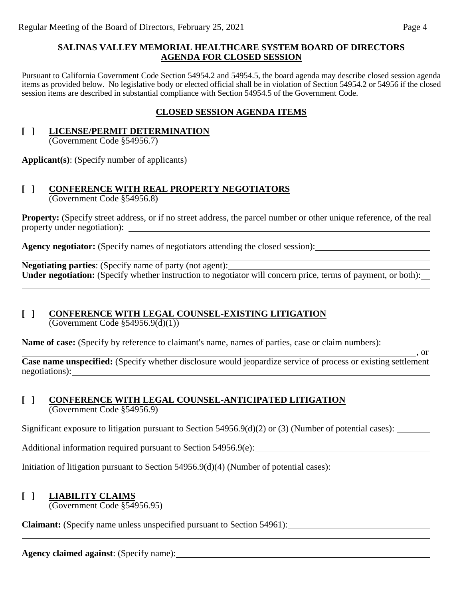#### **SALINAS VALLEY MEMORIAL HEALTHCARE SYSTEM BOARD OF DIRECTORS AGENDA FOR CLOSED SESSION**

Pursuant to California Government Code Section 54954.2 and 54954.5, the board agenda may describe closed session agenda items as provided below. No legislative body or elected official shall be in violation of Section 54954.2 or 54956 if the closed session items are described in substantial compliance with Section 54954.5 of the Government Code.

## **CLOSED SESSION AGENDA ITEMS**

#### **[ ] LICENSE/PERMIT DETERMINATION** (Government Code §54956.7)

**Applicant(s)**: (Specify number of applicants)

# **[ ] CONFERENCE WITH REAL PROPERTY NEGOTIATORS**

(Government Code §54956.8)

**Property:** (Specify street address, or if no street address, the parcel number or other unique reference, of the real property under negotiation):

Agency negotiator: (Specify names of negotiators attending the closed session): <u>\_\_\_\_\_\_\_\_\_\_\_\_\_\_\_\_\_\_\_\_\_\_\_\_\_\_\_\_\_\_\_\_</u>

**Negotiating parties**: (Specify name of party (not agent): Under negotiation: (Specify whether instruction to negotiator will concern price, terms of payment, or both):

## **[ ] CONFERENCE WITH LEGAL COUNSEL-EXISTING LITIGATION**

(Government Code §54956.9(d)(1))

**Name of case:** (Specify by reference to claimant's name, names of parties, case or claim numbers):

**Case name unspecified:** (Specify whether disclosure would jeopardize service of process or existing settlement negotiations):

### **[ ] CONFERENCE WITH LEGAL COUNSEL-ANTICIPATED LITIGATION** (Government Code §54956.9)

Significant exposure to litigation pursuant to Section 54956.9(d)(2) or (3) (Number of potential cases):

Additional information required pursuant to Section 54956.9(e):

Initiation of litigation pursuant to Section 54956.9(d)(4) (Number of potential cases):

## **[ ] LIABILITY CLAIMS**

(Government Code §54956.95)

**Claimant:** (Specify name unless unspecified pursuant to Section 54961):

**Agency claimed against**: (Specify name):

 $\overline{\phantom{a}}$ , or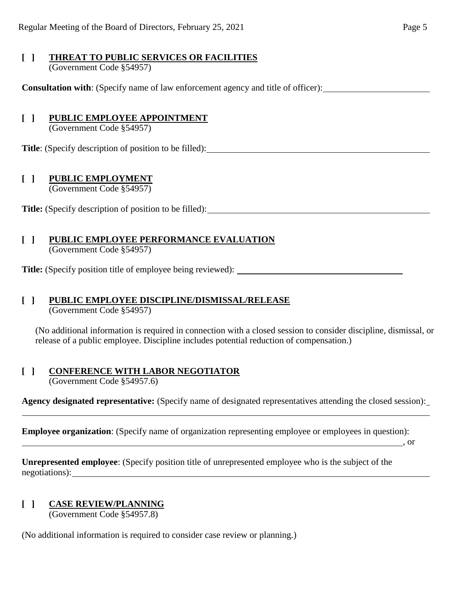#### **[ ] THREAT TO PUBLIC SERVICES OR FACILITIES** (Government Code §54957)

**Consultation with**: (Specify name of law enforcement agency and title of officer):

## **[ ] PUBLIC EMPLOYEE APPOINTMENT**

(Government Code §54957)

**Title**: (Specify description of position to be filled):

## **[ ] PUBLIC EMPLOYMENT**

(Government Code §54957)

Title: (Specify description of position to be filled):

## **[ ] PUBLIC EMPLOYEE PERFORMANCE EVALUATION**

(Government Code §54957)

**Title:** (Specify position title of employee being reviewed):

# **[ ] PUBLIC EMPLOYEE DISCIPLINE/DISMISSAL/RELEASE**

(Government Code §54957)

(No additional information is required in connection with a closed session to consider discipline, dismissal, or release of a public employee. Discipline includes potential reduction of compensation.)

## **[ ] CONFERENCE WITH LABOR NEGOTIATOR**

(Government Code §54957.6)

**Agency designated representative:** (Specify name of designated representatives attending the closed session): l

**Employee organization**: (Specify name of organization representing employee or employees in question):

, or  $\sim$  , or

**Unrepresented employee**: (Specify position title of unrepresented employee who is the subject of the negotiations):

## **[ ] CASE REVIEW/PLANNING**

(Government Code §54957.8)

(No additional information is required to consider case review or planning.)